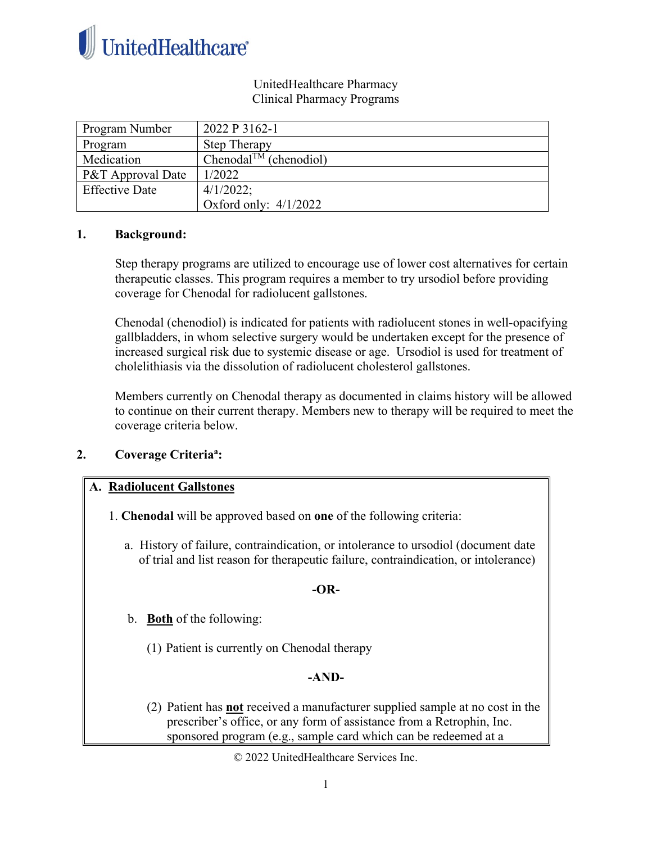

#### UnitedHealthcare Pharmacy Clinical Pharmacy Programs

| Program Number        | 2022 P 3162-1                      |
|-----------------------|------------------------------------|
| Program               | <b>Step Therapy</b>                |
| Medication            | Chenodal <sup>TM</sup> (chenodiol) |
| P&T Approval Date     | 1/2022                             |
| <b>Effective Date</b> | $4/1/2022$ ;                       |
|                       | Oxford only: $4/1/2022$            |

#### **1. Background:**

Step therapy programs are utilized to encourage use of lower cost alternatives for certain therapeutic classes. This program requires a member to try ursodiol before providing coverage for Chenodal for radiolucent gallstones.

Chenodal (chenodiol) is indicated for patients with radiolucent stones in well-opacifying gallbladders, in whom selective surgery would be undertaken except for the presence of increased surgical risk due to systemic disease or age. Ursodiol is used for treatment of cholelithiasis via the dissolution of radiolucent cholesterol gallstones.

Members currently on Chenodal therapy as documented in claims history will be allowed to continue on their current therapy. Members new to therapy will be required to meet the coverage criteria below.

### **2. Coverage Criteriaa :**

### **A. Radiolucent Gallstones**

- 1. **Chenodal** will be approved based on **one** of the following criteria:
	- a. History of failure, contraindication, or intolerance to ursodiol (document date of trial and list reason for therapeutic failure, contraindication, or intolerance)

### **-OR-**

- b. **Both** of the following:
	- (1) Patient is currently on Chenodal therapy

### **-AND-**

(2) Patient has **not** received a manufacturer supplied sample at no cost in the prescriber's office, or any form of assistance from a Retrophin, Inc. sponsored program (e.g., sample card which can be redeemed at a

© 2022 UnitedHealthcare Services Inc.